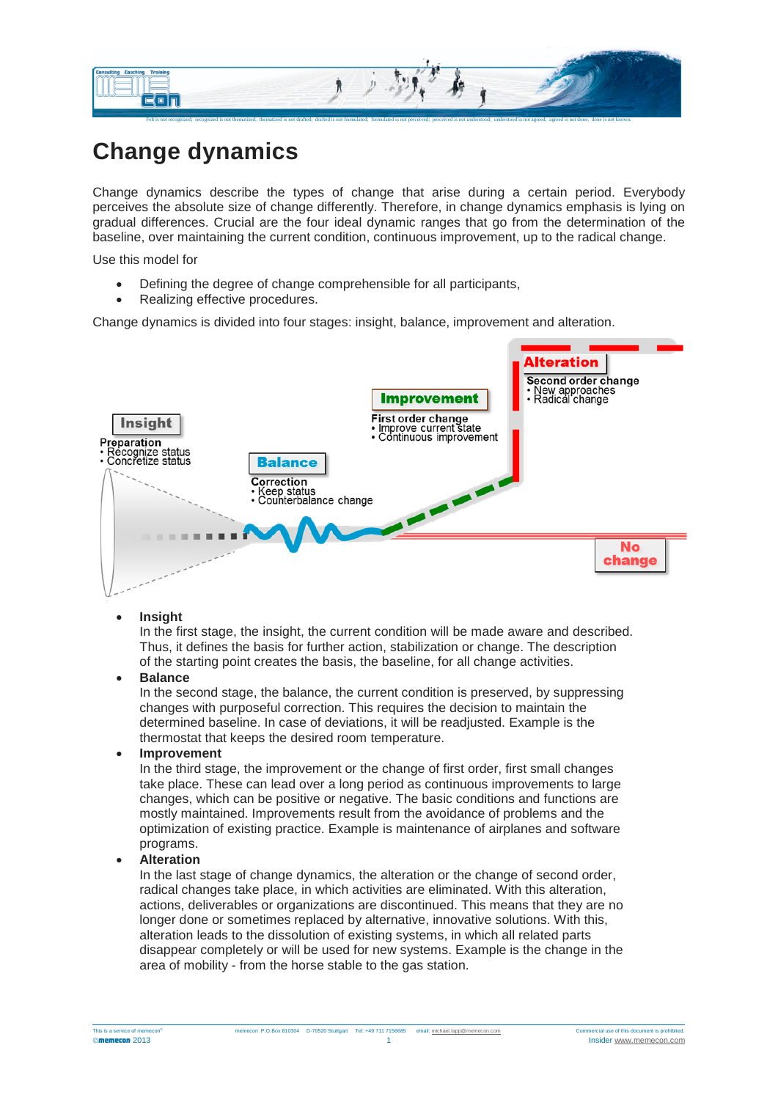

# **Change dynamics**

Change dynamics describe the types of change that arise during a certain period. Everybody perceives the absolute size of change differently. Therefore, in change dynamics emphasis is lying on gradual differences. Crucial are the four ideal dynamic ranges that go from the determination of the baseline, over maintaining the current condition, continuous improvement, up to the radical change.

Use this model for

- Defining the degree of change comprehensible for all participants,
- Realizing effective procedures.

Change dynamics is divided into four stages: insight, balance, improvement and alteration.



# • **Insight**

In the first stage, the insight, the current condition will be made aware and described. Thus, it defines the basis for further action, stabilization or change. The description of the starting point creates the basis, the baseline, for all change activities.

## • **Balance**

In the second stage, the balance, the current condition is preserved, by suppressing changes with purposeful correction. This requires the decision to maintain the determined baseline. In case of deviations, it will be readjusted. Example is the thermostat that keeps the desired room temperature.

## • **Improvement**

In the third stage, the improvement or the change of first order, first small changes take place. These can lead over a long period as continuous improvements to large changes, which can be positive or negative. The basic conditions and functions are mostly maintained. Improvements result from the avoidance of problems and the optimization of existing practice. Example is maintenance of airplanes and software programs.

# • **Alteration**

In the last stage of change dynamics, the alteration or the change of second order, radical changes take place, in which activities are eliminated. With this alteration, actions, deliverables or organizations are discontinued. This means that they are no longer done or sometimes replaced by alternative, innovative solutions. With this, alteration leads to the dissolution of existing systems, in which all related parts disappear completely or will be used for new systems. Example is the change in the area of mobility - from the horse stable to the gas station.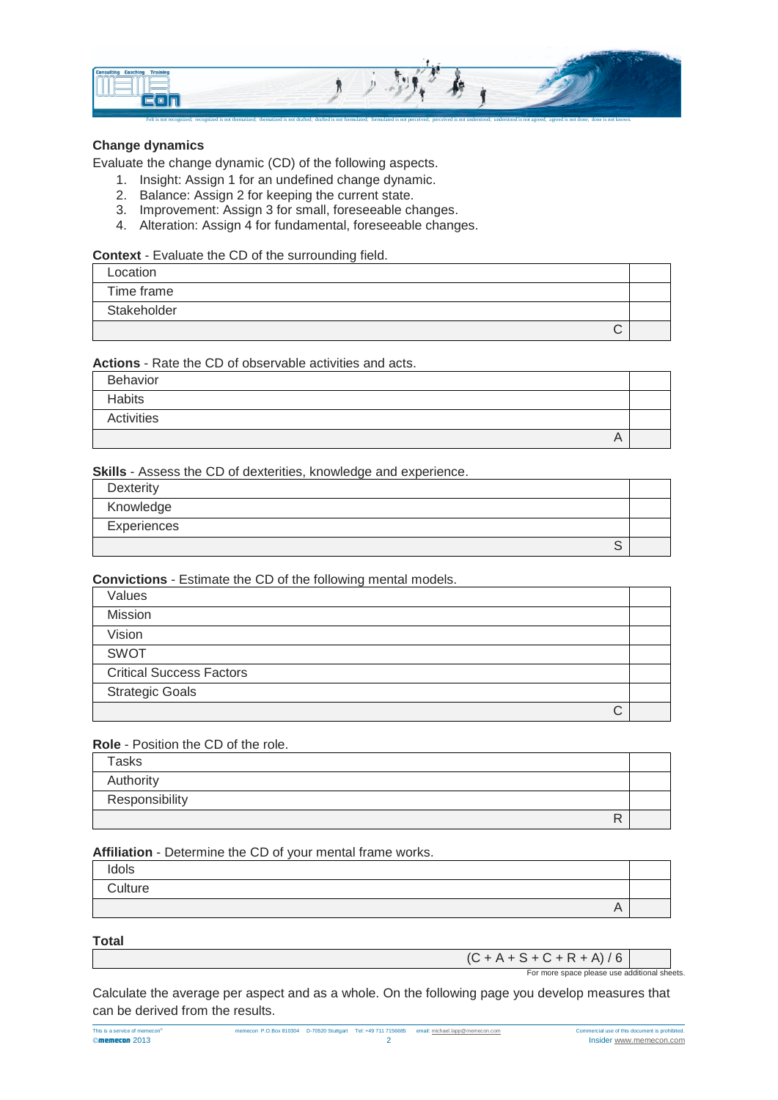

# **Change dynamics**

Evaluate the change dynamic (CD) of the following aspects.

- 1. Insight: Assign 1 for an undefined change dynamic.
- 2. Balance: Assign 2 for keeping the current state.
- 3. Improvement: Assign 3 for small, foreseeable changes.
- 4. Alteration: Assign 4 for fundamental, foreseeable changes.

## **Context** - Evaluate the CD of the surrounding field.

| Location    |  |
|-------------|--|
| Time frame  |  |
| Stakeholder |  |
| ◡           |  |

# **Actions** - Rate the CD of observable activities and acts.

| Behavior   |  |
|------------|--|
| Habits     |  |
| Activities |  |
| A          |  |

## **Skills** - Assess the CD of dexterities, knowledge and experience.

| Dexterity   |  |
|-------------|--|
| Knowledge   |  |
| Experiences |  |
| ບ           |  |

# **Convictions** - Estimate the CD of the following mental models.

| Values                          |  |
|---------------------------------|--|
| <b>Mission</b>                  |  |
| Vision                          |  |
| <b>SWOT</b>                     |  |
| <b>Critical Success Factors</b> |  |
| <b>Strategic Goals</b>          |  |
| ◡                               |  |

## **Role** - Position the CD of the role.

| <b>Tasks</b>   |  |
|----------------|--|
| Authority      |  |
| Responsibility |  |
|                |  |

## **Affiliation** - Determine the CD of your mental frame works.

| Idols   |           |  |
|---------|-----------|--|
| Culture |           |  |
|         | $\forall$ |  |

## **Total**

| $(C + A + S + C + R + A)/6$                  |  |
|----------------------------------------------|--|
| For more space please use additional sheets. |  |

Calculate the average per aspect and as a whole. On the following page you develop measures that can be derived from the results.